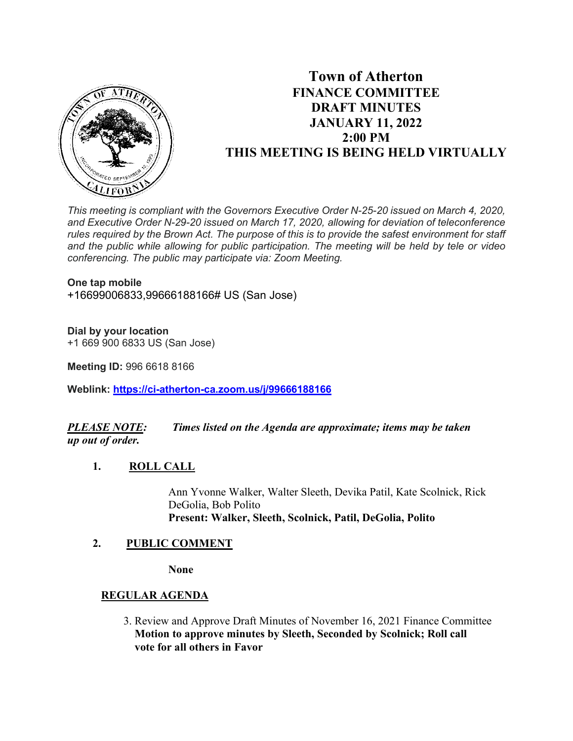

# **Town of Atherton FINANCE COMMITTEE DRAFT MINUTES JANUARY 11, 2022 2:00 PM THIS MEETING IS BEING HELD VIRTUALLY**

*This meeting is compliant with the Governors Executive Order N-25-20 issued on March 4, 2020, and Executive Order N-29-20 issued on March 17, 2020, allowing for deviation of teleconference rules required by the Brown Act. The purpose of this is to provide the safest environment for staff and the public while allowing for public participation. The meeting will be held by tele or video conferencing. The public may participate via: Zoom Meeting.*

#### **One tap mobile**

+16699006833,99666188166# US (San Jose)

### **Dial by your location**

+1 669 900 6833 US (San Jose)

**Meeting ID:** 996 6618 8166

**Weblink: <https://ci-atherton-ca.zoom.us/j/99666188166>**

## *PLEASE NOTE: Times listed on the Agenda are approximate; items may be taken up out of order.*

### **1. ROLL CALL**

Ann Yvonne Walker, Walter Sleeth, Devika Patil, Kate Scolnick, Rick DeGolia, Bob Polito **Present: Walker, Sleeth, Scolnick, Patil, DeGolia, Polito**

### **2. PUBLIC COMMENT**

**None**

## **REGULAR AGENDA**

 3. Review and Approve Draft Minutes of November 16, 2021 Finance Committee **Motion to approve minutes by Sleeth, Seconded by Scolnick; Roll call vote for all others in Favor**